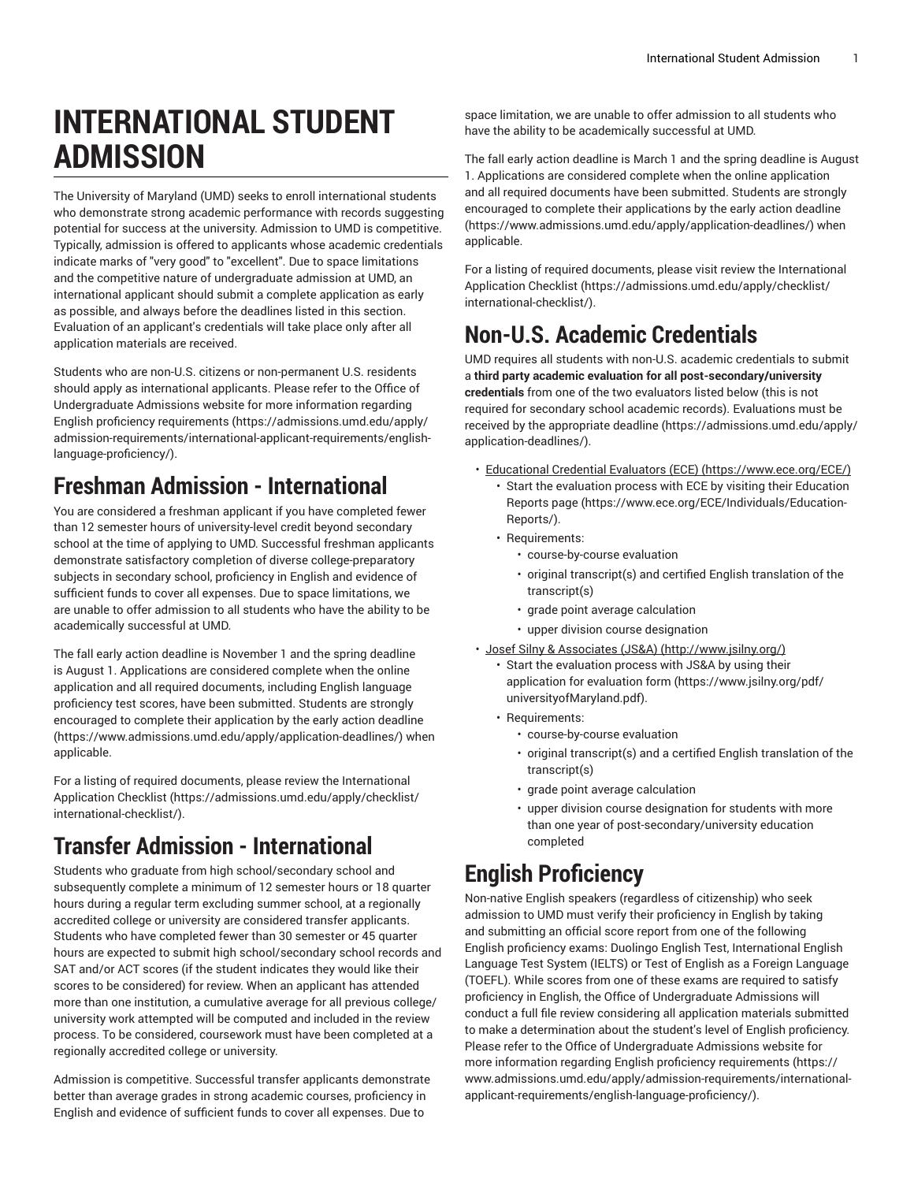# **INTERNATIONAL STUDENT ADMISSION**

The University of Maryland (UMD) seeks to enroll international students who demonstrate strong academic performance with records suggesting potential for success at the university. Admission to UMD is competitive. Typically, admission is offered to applicants whose academic credentials indicate marks of "very good" to "excellent". Due to space limitations and the competitive nature of undergraduate admission at UMD, an international applicant should submit a complete application as early as possible, and always before the deadlines listed in this section. Evaluation of an applicant's credentials will take place only after all application materials are received.

Students who are non-U.S. citizens or non-permanent U.S. residents should apply as international applicants. Please refer to the Office of Undergraduate Admissions website for more information regarding English proficiency [requirements \(https://admissions.umd.edu/apply/](https://admissions.umd.edu/apply/admission-requirements/international-applicant-requirements/english-language-proficiency/) [admission-requirements/international-applicant-requirements/english](https://admissions.umd.edu/apply/admission-requirements/international-applicant-requirements/english-language-proficiency/)[language-proficiency/](https://admissions.umd.edu/apply/admission-requirements/international-applicant-requirements/english-language-proficiency/)).

#### **Freshman Admission - International**

You are considered a freshman applicant if you have completed fewer than 12 semester hours of university-level credit beyond secondary school at the time of applying to UMD. Successful freshman applicants demonstrate satisfactory completion of diverse college-preparatory subjects in secondary school, proficiency in English and evidence of sufficient funds to cover all expenses. Due to space limitations, we are unable to offer admission to all students who have the ability to be academically successful at UMD.

The fall early action deadline is November 1 and the spring deadline is August 1. Applications are considered complete when the online application and all required documents, including English language proficiency test scores, have been submitted. Students are strongly encouraged to complete their application by the [early action deadline](https://www.admissions.umd.edu/apply/application-deadlines/) (<https://www.admissions.umd.edu/apply/application-deadlines/>) when applicable.

For a listing of required documents, please review the [International](https://admissions.umd.edu/apply/checklist/international-checklist/) [Application Checklist](https://admissions.umd.edu/apply/checklist/international-checklist/) ([https://admissions.umd.edu/apply/checklist/](https://admissions.umd.edu/apply/checklist/international-checklist/) [international-checklist/](https://admissions.umd.edu/apply/checklist/international-checklist/)).

## **Transfer Admission - International**

Students who graduate from high school/secondary school and subsequently complete a minimum of 12 semester hours or 18 quarter hours during a regular term excluding summer school, at a regionally accredited college or university are considered transfer applicants. Students who have completed fewer than 30 semester or 45 quarter hours are expected to submit high school/secondary school records and SAT and/or ACT scores (if the student indicates they would like their scores to be considered) for review. When an applicant has attended more than one institution, a cumulative average for all previous college/ university work attempted will be computed and included in the review process. To be considered, coursework must have been completed at a regionally accredited college or university.

Admission is competitive. Successful transfer applicants demonstrate better than average grades in strong academic courses, proficiency in English and evidence of sufficient funds to cover all expenses. Due to

space limitation, we are unable to offer admission to all students who have the ability to be academically successful at UMD.

The fall early action deadline is March 1 and the spring deadline is August 1. Applications are considered complete when the online application and all required documents have been submitted. Students are strongly encouraged to complete their applications by the [early action deadline](https://www.admissions.umd.edu/apply/application-deadlines/) [\(https://www.admissions.umd.edu/apply/application-deadlines/\)](https://www.admissions.umd.edu/apply/application-deadlines/) when applicable.

For a listing of required documents, please visit review the [International](https://admissions.umd.edu/apply/checklist/international-checklist/) [Application Checklist](https://admissions.umd.edu/apply/checklist/international-checklist/) ([https://admissions.umd.edu/apply/checklist/](https://admissions.umd.edu/apply/checklist/international-checklist/) [international-checklist/\)](https://admissions.umd.edu/apply/checklist/international-checklist/).

# **Non-U.S. Academic Credentials**

UMD requires all students with non-U.S. academic credentials to submit a **third party academic evaluation for all post-secondary/university credentials** from one of the two evaluators listed below (this is not required for secondary school academic records). Evaluations must be received by the appropriate [deadline](https://admissions.umd.edu/apply/application-deadlines/) ([https://admissions.umd.edu/apply/](https://admissions.umd.edu/apply/application-deadlines/) [application-deadlines/\)](https://admissions.umd.edu/apply/application-deadlines/).

- [Educational](https://www.ece.org/ECE/) Credential Evaluators (ECE) ([https://www.ece.org/ECE/\)](https://www.ece.org/ECE/) • Start the evaluation process with ECE by visiting their [Education](https://www.ece.org/ECE/Individuals/Education-Reports/) [Reports](https://www.ece.org/ECE/Individuals/Education-Reports/) page [\(https://www.ece.org/ECE/Individuals/Education-](https://www.ece.org/ECE/Individuals/Education-Reports/)[Reports/](https://www.ece.org/ECE/Individuals/Education-Reports/)).
	- Requirements:
		- course-by-course evaluation
		- original transcript(s) and certified English translation of the transcript(s)
		- grade point average calculation
		- upper division course designation
- [Josef Silny & Associates \(JS&A\) \(http://www.jsilny.org/\)](http://www.jsilny.org/)
	- Start the evaluation process with JS&A by using their [application](https://www.jsilny.org/pdf/universityofMaryland.pdf) for evaluation form [\(https://www.jsilny.org/pdf/](https://www.jsilny.org/pdf/universityofMaryland.pdf) [universityofMaryland.pdf](https://www.jsilny.org/pdf/universityofMaryland.pdf)).
	- Requirements:
		- course-by-course evaluation
		- original transcript(s) and a certified English translation of the transcript(s)
		- grade point average calculation
		- upper division course designation for students with more than one year of post-secondary/university education completed

## **English Proficiency**

Non-native English speakers (regardless of citizenship) who seek admission to UMD must verify their proficiency in English by taking and submitting an official score report from one of the following English proficiency exams: Duolingo English Test, International English Language Test System (IELTS) or Test of English as a Foreign Language (TOEFL). While scores from one of these exams are required to satisfy proficiency in English, the Office of Undergraduate Admissions will conduct a full file review considering all application materials submitted to make a determination about the student's level of English proficiency. Please refer to the Office of Undergraduate Admissions website for more information regarding English proficiency [requirements](https://www.admissions.umd.edu/apply/admission-requirements/international-applicant-requirements/english-language-proficiency/) ([https://](https://www.admissions.umd.edu/apply/admission-requirements/international-applicant-requirements/english-language-proficiency/) [www.admissions.umd.edu/apply/admission-requirements/international](https://www.admissions.umd.edu/apply/admission-requirements/international-applicant-requirements/english-language-proficiency/)[applicant-requirements/english-language-proficiency/](https://www.admissions.umd.edu/apply/admission-requirements/international-applicant-requirements/english-language-proficiency/)).